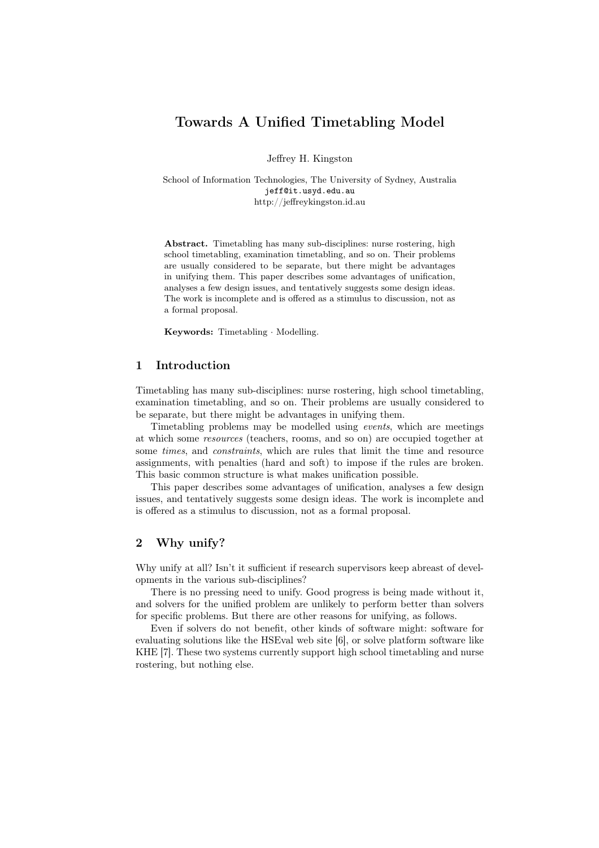# Towards A Unified Timetabling Model

Jeffrey H. Kingston

School of Information Technologies, The University of Sydney, Australia jeff@it.usyd.edu.au http://jeffreykingston.id.au

Abstract. Timetabling has many sub-disciplines: nurse rostering, high school timetabling, examination timetabling, and so on. Their problems are usually considered to be separate, but there might be advantages in unifying them. This paper describes some advantages of unification, analyses a few design issues, and tentatively suggests some design ideas. The work is incomplete and is offered as a stimulus to discussion, not as a formal proposal.

Keywords: Timetabling · Modelling.

## 1 Introduction

Timetabling has many sub-disciplines: nurse rostering, high school timetabling, examination timetabling, and so on. Their problems are usually considered to be separate, but there might be advantages in unifying them.

Timetabling problems may be modelled using events, which are meetings at which some resources (teachers, rooms, and so on) are occupied together at some times, and constraints, which are rules that limit the time and resource assignments, with penalties (hard and soft) to impose if the rules are broken. This basic common structure is what makes unification possible.

This paper describes some advantages of unification, analyses a few design issues, and tentatively suggests some design ideas. The work is incomplete and is offered as a stimulus to discussion, not as a formal proposal.

## 2 Why unify?

Why unify at all? Isn't it sufficient if research supervisors keep abreast of developments in the various sub-disciplines?

There is no pressing need to unify. Good progress is being made without it, and solvers for the unified problem are unlikely to perform better than solvers for specific problems. But there are other reasons for unifying, as follows.

Even if solvers do not benefit, other kinds of software might: software for evaluating solutions like the HSEval web site [6], or solve platform software like KHE [7]. These two systems currently support high school timetabling and nurse rostering, but nothing else.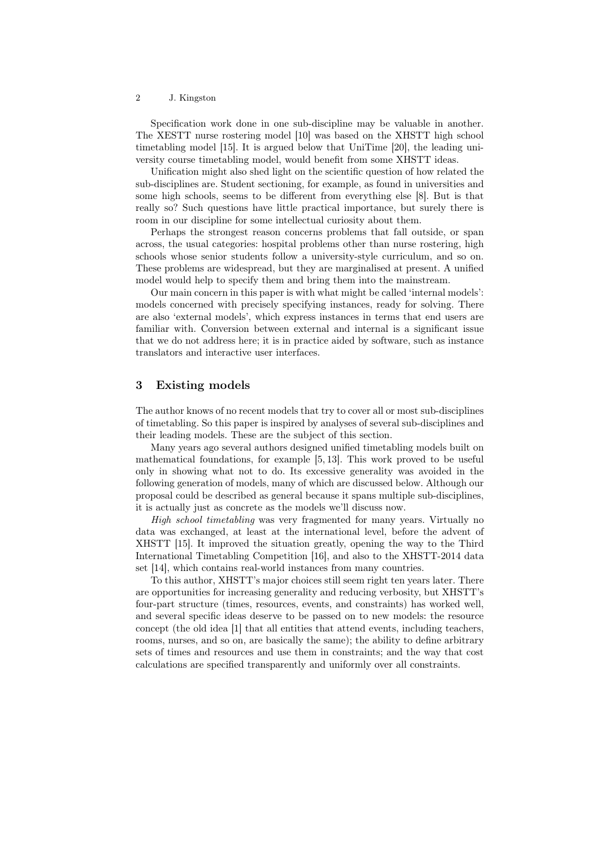#### 2 J. Kingston

Specification work done in one sub-discipline may be valuable in another. The XESTT nurse rostering model [10] was based on the XHSTT high school timetabling model [15]. It is argued below that UniTime [20], the leading university course timetabling model, would benefit from some XHSTT ideas.

Unification might also shed light on the scientific question of how related the sub-disciplines are. Student sectioning, for example, as found in universities and some high schools, seems to be different from everything else [8]. But is that really so? Such questions have little practical importance, but surely there is room in our discipline for some intellectual curiosity about them.

Perhaps the strongest reason concerns problems that fall outside, or span across, the usual categories: hospital problems other than nurse rostering, high schools whose senior students follow a university-style curriculum, and so on. These problems are widespread, but they are marginalised at present. A unified model would help to specify them and bring them into the mainstream.

Our main concern in this paper is with what might be called 'internal models': models concerned with precisely specifying instances, ready for solving. There are also 'external models', which express instances in terms that end users are familiar with. Conversion between external and internal is a significant issue that we do not address here; it is in practice aided by software, such as instance translators and interactive user interfaces.

## 3 Existing models

The author knows of no recent models that try to cover all or most sub-disciplines of timetabling. So this paper is inspired by analyses of several sub-disciplines and their leading models. These are the subject of this section.

Many years ago several authors designed unified timetabling models built on mathematical foundations, for example [5, 13]. This work proved to be useful only in showing what not to do. Its excessive generality was avoided in the following generation of models, many of which are discussed below. Although our proposal could be described as general because it spans multiple sub-disciplines, it is actually just as concrete as the models we'll discuss now.

High school timetabling was very fragmented for many years. Virtually no data was exchanged, at least at the international level, before the advent of XHSTT [15]. It improved the situation greatly, opening the way to the Third International Timetabling Competition [16], and also to the XHSTT-2014 data set [14], which contains real-world instances from many countries.

To this author, XHSTT's major choices still seem right ten years later. There are opportunities for increasing generality and reducing verbosity, but XHSTT's four-part structure (times, resources, events, and constraints) has worked well, and several specific ideas deserve to be passed on to new models: the resource concept (the old idea [1] that all entities that attend events, including teachers, rooms, nurses, and so on, are basically the same); the ability to define arbitrary sets of times and resources and use them in constraints; and the way that cost calculations are specified transparently and uniformly over all constraints.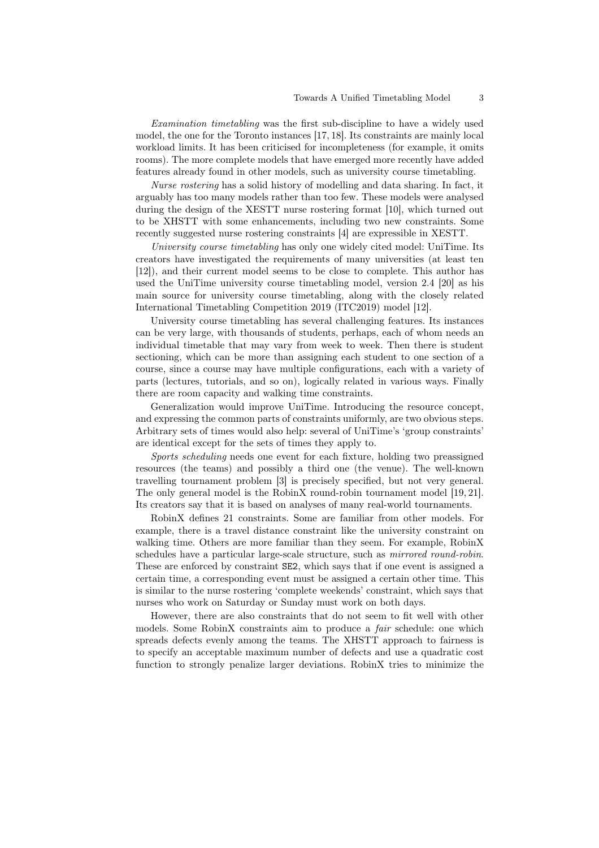Examination timetabling was the first sub-discipline to have a widely used model, the one for the Toronto instances [17, 18]. Its constraints are mainly local workload limits. It has been criticised for incompleteness (for example, it omits rooms). The more complete models that have emerged more recently have added features already found in other models, such as university course timetabling.

Nurse rostering has a solid history of modelling and data sharing. In fact, it arguably has too many models rather than too few. These models were analysed during the design of the XESTT nurse rostering format [10], which turned out to be XHSTT with some enhancements, including two new constraints. Some recently suggested nurse rostering constraints [4] are expressible in XESTT.

University course timetabling has only one widely cited model: UniTime. Its creators have investigated the requirements of many universities (at least ten [12]), and their current model seems to be close to complete. This author has used the UniTime university course timetabling model, version 2.4 [20] as his main source for university course timetabling, along with the closely related International Timetabling Competition 2019 (ITC2019) model [12].

University course timetabling has several challenging features. Its instances can be very large, with thousands of students, perhaps, each of whom needs an individual timetable that may vary from week to week. Then there is student sectioning, which can be more than assigning each student to one section of a course, since a course may have multiple configurations, each with a variety of parts (lectures, tutorials, and so on), logically related in various ways. Finally there are room capacity and walking time constraints.

Generalization would improve UniTime. Introducing the resource concept, and expressing the common parts of constraints uniformly, are two obvious steps. Arbitrary sets of times would also help: several of UniTime's 'group constraints' are identical except for the sets of times they apply to.

Sports scheduling needs one event for each fixture, holding two preassigned resources (the teams) and possibly a third one (the venue). The well-known travelling tournament problem [3] is precisely specified, but not very general. The only general model is the RobinX round-robin tournament model [19, 21]. Its creators say that it is based on analyses of many real-world tournaments.

RobinX defines 21 constraints. Some are familiar from other models. For example, there is a travel distance constraint like the university constraint on walking time. Others are more familiar than they seem. For example, RobinX schedules have a particular large-scale structure, such as *mirrored round-robin*. These are enforced by constraint SE2, which says that if one event is assigned a certain time, a corresponding event must be assigned a certain other time. This is similar to the nurse rostering 'complete weekends' constraint, which says that nurses who work on Saturday or Sunday must work on both days.

However, there are also constraints that do not seem to fit well with other models. Some RobinX constraints aim to produce a *fair* schedule: one which spreads defects evenly among the teams. The XHSTT approach to fairness is to specify an acceptable maximum number of defects and use a quadratic cost function to strongly penalize larger deviations. RobinX tries to minimize the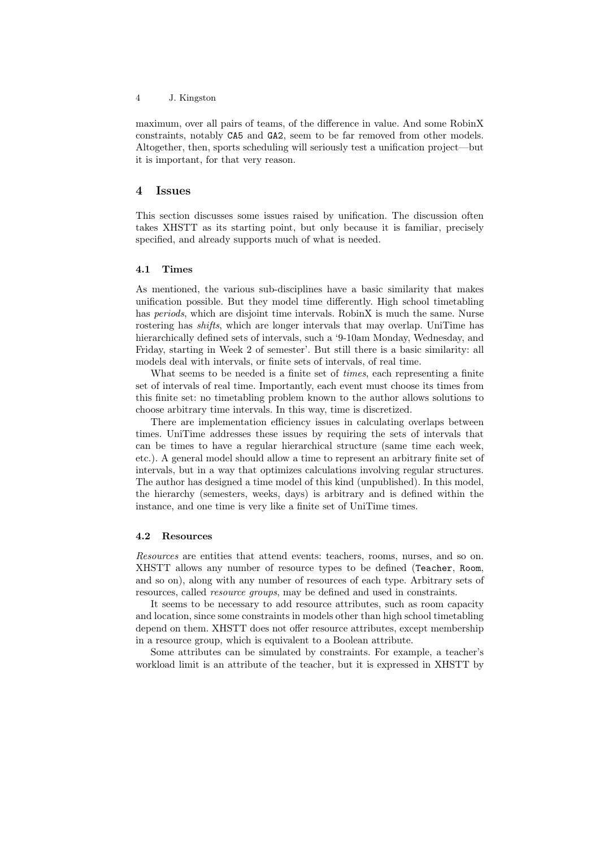#### 4 J. Kingston

maximum, over all pairs of teams, of the difference in value. And some RobinX constraints, notably CA5 and GA2, seem to be far removed from other models. Altogether, then, sports scheduling will seriously test a unification project—but it is important, for that very reason.

#### 4 Issues

This section discusses some issues raised by unification. The discussion often takes XHSTT as its starting point, but only because it is familiar, precisely specified, and already supports much of what is needed.

#### 4.1 Times

As mentioned, the various sub-disciplines have a basic similarity that makes unification possible. But they model time differently. High school timetabling has *periods*, which are disjoint time intervals. RobinX is much the same. Nurse rostering has shifts, which are longer intervals that may overlap. UniTime has hierarchically defined sets of intervals, such a '9-10am Monday, Wednesday, and Friday, starting in Week 2 of semester'. But still there is a basic similarity: all models deal with intervals, or finite sets of intervals, of real time.

What seems to be needed is a finite set of *times*, each representing a finite set of intervals of real time. Importantly, each event must choose its times from this finite set: no timetabling problem known to the author allows solutions to choose arbitrary time intervals. In this way, time is discretized.

There are implementation efficiency issues in calculating overlaps between times. UniTime addresses these issues by requiring the sets of intervals that can be times to have a regular hierarchical structure (same time each week, etc.). A general model should allow a time to represent an arbitrary finite set of intervals, but in a way that optimizes calculations involving regular structures. The author has designed a time model of this kind (unpublished). In this model, the hierarchy (semesters, weeks, days) is arbitrary and is defined within the instance, and one time is very like a finite set of UniTime times.

### 4.2 Resources

Resources are entities that attend events: teachers, rooms, nurses, and so on. XHSTT allows any number of resource types to be defined (Teacher, Room, and so on), along with any number of resources of each type. Arbitrary sets of resources, called resource groups, may be defined and used in constraints.

It seems to be necessary to add resource attributes, such as room capacity and location, since some constraints in models other than high school timetabling depend on them. XHSTT does not offer resource attributes, except membership in a resource group, which is equivalent to a Boolean attribute.

Some attributes can be simulated by constraints. For example, a teacher's workload limit is an attribute of the teacher, but it is expressed in XHSTT by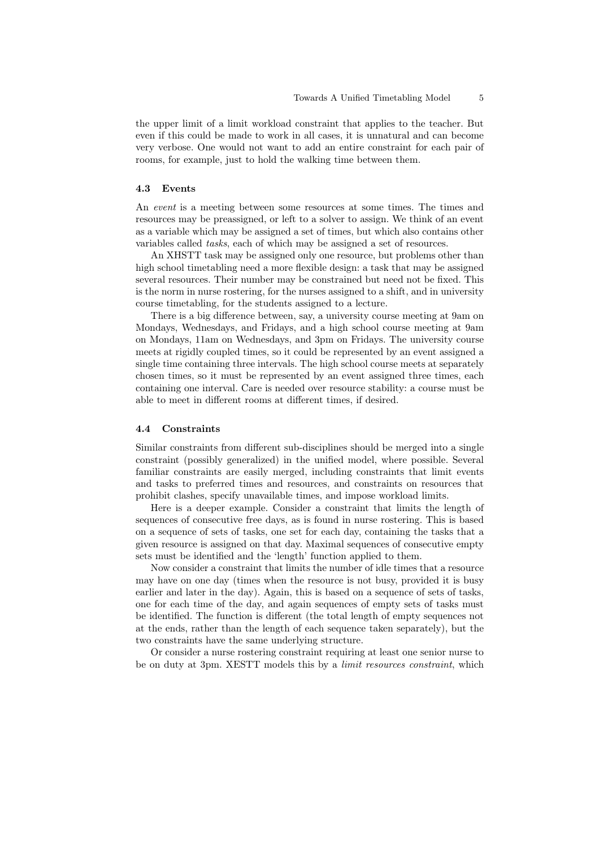the upper limit of a limit workload constraint that applies to the teacher. But even if this could be made to work in all cases, it is unnatural and can become very verbose. One would not want to add an entire constraint for each pair of rooms, for example, just to hold the walking time between them.

#### 4.3 Events

An event is a meeting between some resources at some times. The times and resources may be preassigned, or left to a solver to assign. We think of an event as a variable which may be assigned a set of times, but which also contains other variables called tasks, each of which may be assigned a set of resources.

An XHSTT task may be assigned only one resource, but problems other than high school timetabling need a more flexible design: a task that may be assigned several resources. Their number may be constrained but need not be fixed. This is the norm in nurse rostering, for the nurses assigned to a shift, and in university course timetabling, for the students assigned to a lecture.

There is a big difference between, say, a university course meeting at 9am on Mondays, Wednesdays, and Fridays, and a high school course meeting at 9am on Mondays, 11am on Wednesdays, and 3pm on Fridays. The university course meets at rigidly coupled times, so it could be represented by an event assigned a single time containing three intervals. The high school course meets at separately chosen times, so it must be represented by an event assigned three times, each containing one interval. Care is needed over resource stability: a course must be able to meet in different rooms at different times, if desired.

#### 4.4 Constraints

Similar constraints from different sub-disciplines should be merged into a single constraint (possibly generalized) in the unified model, where possible. Several familiar constraints are easily merged, including constraints that limit events and tasks to preferred times and resources, and constraints on resources that prohibit clashes, specify unavailable times, and impose workload limits.

Here is a deeper example. Consider a constraint that limits the length of sequences of consecutive free days, as is found in nurse rostering. This is based on a sequence of sets of tasks, one set for each day, containing the tasks that a given resource is assigned on that day. Maximal sequences of consecutive empty sets must be identified and the 'length' function applied to them.

Now consider a constraint that limits the number of idle times that a resource may have on one day (times when the resource is not busy, provided it is busy earlier and later in the day). Again, this is based on a sequence of sets of tasks, one for each time of the day, and again sequences of empty sets of tasks must be identified. The function is different (the total length of empty sequences not at the ends, rather than the length of each sequence taken separately), but the two constraints have the same underlying structure.

Or consider a nurse rostering constraint requiring at least one senior nurse to be on duty at 3pm. XESTT models this by a limit resources constraint, which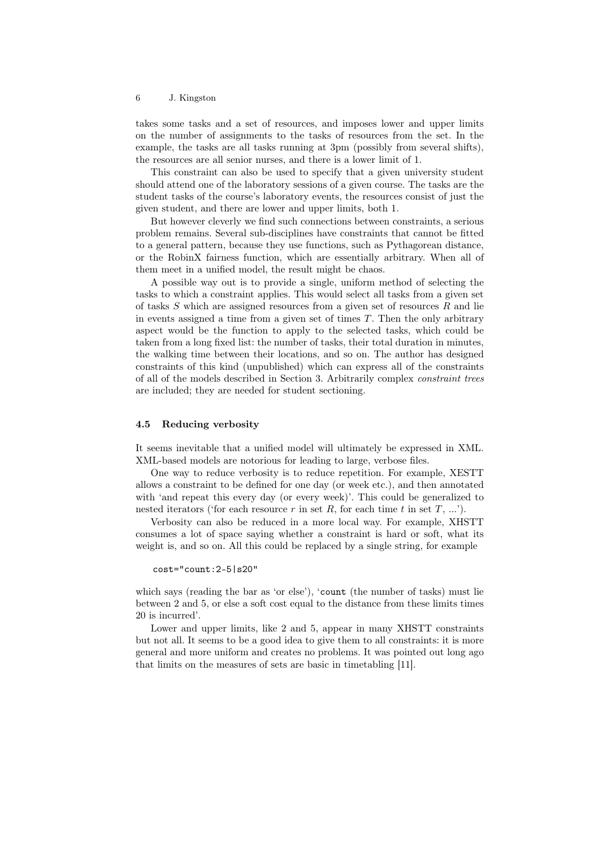#### 6 J. Kingston

takes some tasks and a set of resources, and imposes lower and upper limits on the number of assignments to the tasks of resources from the set. In the example, the tasks are all tasks running at 3pm (possibly from several shifts), the resources are all senior nurses, and there is a lower limit of 1.

This constraint can also be used to specify that a given university student should attend one of the laboratory sessions of a given course. The tasks are the student tasks of the course's laboratory events, the resources consist of just the given student, and there are lower and upper limits, both 1.

But however cleverly we find such connections between constraints, a serious problem remains. Several sub-disciplines have constraints that cannot be fitted to a general pattern, because they use functions, such as Pythagorean distance, or the RobinX fairness function, which are essentially arbitrary. When all of them meet in a unified model, the result might be chaos.

A possible way out is to provide a single, uniform method of selecting the tasks to which a constraint applies. This would select all tasks from a given set of tasks  $S$  which are assigned resources from a given set of resources  $R$  and lie in events assigned a time from a given set of times  $T$ . Then the only arbitrary aspect would be the function to apply to the selected tasks, which could be taken from a long fixed list: the number of tasks, their total duration in minutes, the walking time between their locations, and so on. The author has designed constraints of this kind (unpublished) which can express all of the constraints of all of the models described in Section 3. Arbitrarily complex constraint trees are included; they are needed for student sectioning.

#### 4.5 Reducing verbosity

It seems inevitable that a unified model will ultimately be expressed in XML. XML-based models are notorious for leading to large, verbose files.

One way to reduce verbosity is to reduce repetition. For example, XESTT allows a constraint to be defined for one day (or week etc.), and then annotated with 'and repeat this every day (or every week)'. This could be generalized to nested iterators ('for each resource  $r$  in set  $R$ , for each time  $t$  in set  $T, ...$ ').

Verbosity can also be reduced in a more local way. For example, XHSTT consumes a lot of space saying whether a constraint is hard or soft, what its weight is, and so on. All this could be replaced by a single string, for example

```
cost="count:2-5|s20"
```
which says (reading the bar as 'or else'), 'count (the number of tasks) must lie between 2 and 5, or else a soft cost equal to the distance from these limits times 20 is incurred'.

Lower and upper limits, like 2 and 5, appear in many XHSTT constraints but not all. It seems to be a good idea to give them to all constraints: it is more general and more uniform and creates no problems. It was pointed out long ago that limits on the measures of sets are basic in timetabling [11].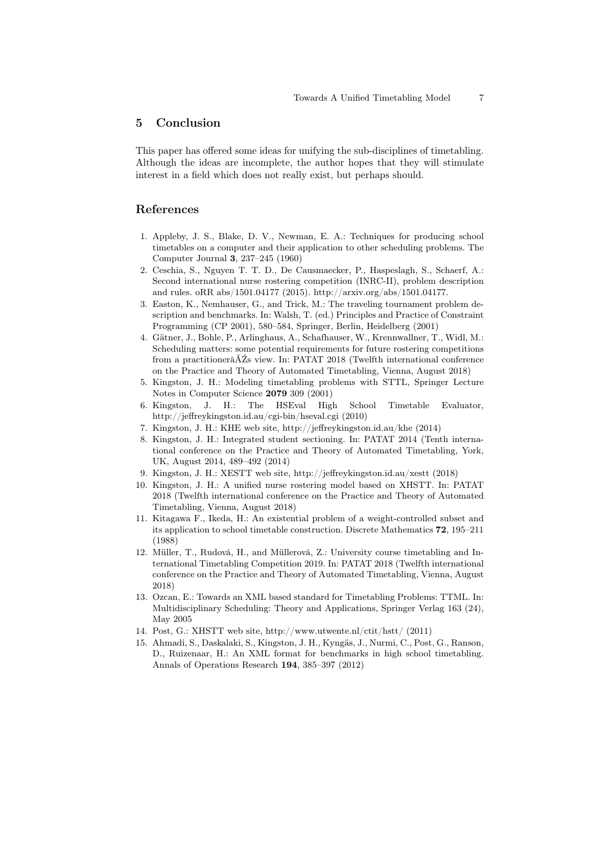# 5 Conclusion

This paper has offered some ideas for unifying the sub-disciplines of timetabling. Although the ideas are incomplete, the author hopes that they will stimulate interest in a field which does not really exist, but perhaps should.

# References

- 1. Appleby, J. S., Blake, D. V., Newman, E. A.: Techniques for producing school timetables on a computer and their application to other scheduling problems. The Computer Journal 3, 237–245 (1960)
- 2. Ceschia, S., Nguyen T. T. D., De Causmaecker, P., Haspeslagh, S., Schaerf, A.: Second international nurse rostering competition (INRC-II), problem description and rules. oRR abs/1501.04177 (2015). http://arxiv.org/abs/1501.04177.
- 3. Easton, K., Nemhauser, G., and Trick, M.: The traveling tournament problem description and benchmarks. In: Walsh, T. (ed.) Principles and Practice of Constraint Programming (CP 2001), 580–584, Springer, Berlin, Heidelberg (2001)
- 4. Gätner, J., Bohle, P., Arlinghaus, A., Schafhauser, W., Krennwallner, T., Widl, M.: Scheduling matters: some potential requirements for future rostering competitions from a practitionerâĂŹs view. In: PATAT 2018 (Twelfth international conference on the Practice and Theory of Automated Timetabling, Vienna, August 2018)
- 5. Kingston, J. H.: Modeling timetabling problems with STTL, Springer Lecture Notes in Computer Science 2079 309 (2001)
- 6. Kingston, J. H.: The HSEval High School Timetable Evaluator, http://jeffreykingston.id.au/cgi-bin/hseval.cgi (2010)
- 7. Kingston, J. H.: KHE web site, http://jeffreykingston.id.au/khe (2014)
- 8. Kingston, J. H.: Integrated student sectioning. In: PATAT 2014 (Tenth international conference on the Practice and Theory of Automated Timetabling, York, UK, August 2014, 489–492 (2014)
- 9. Kingston, J. H.: XESTT web site, http://jeffreykingston.id.au/xestt (2018)
- 10. Kingston, J. H.: A unified nurse rostering model based on XHSTT. In: PATAT 2018 (Twelfth international conference on the Practice and Theory of Automated Timetabling, Vienna, August 2018)
- 11. Kitagawa F., Ikeda, H.: An existential problem of a weight-controlled subset and its application to school timetable construction. Discrete Mathematics 72, 195–211 (1988)
- 12. Müller, T., Rudová, H., and Müllerová, Z.: University course timetabling and International Timetabling Competition 2019. In: PATAT 2018 (Twelfth international conference on the Practice and Theory of Automated Timetabling, Vienna, August 2018)
- 13. Ozcan, E.: Towards an XML based standard for Timetabling Problems: TTML. In: Multidisciplinary Scheduling: Theory and Applications, Springer Verlag 163 (24), May 2005
- 14. Post, G.: XHSTT web site, http://www.utwente.nl/ctit/hstt/ (2011)
- 15. Ahmadi, S., Daskalaki, S., Kingston, J. H., Kyngäs, J., Nurmi, C., Post, G., Ranson, D., Ruizenaar, H.: An XML format for benchmarks in high school timetabling. Annals of Operations Research 194, 385–397 (2012)